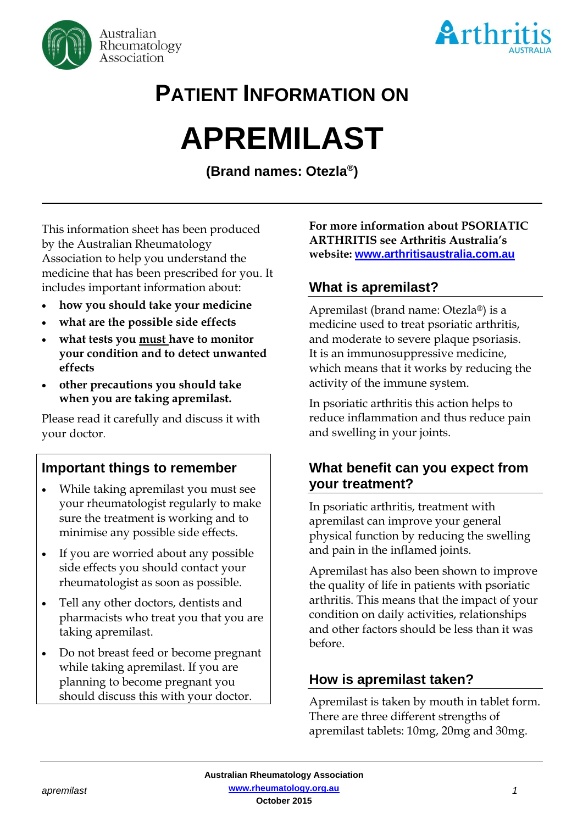



# **PATIENT INFORMATION ON**

# **APREMILAST**

**(Brand names: Otezla® )**

This information sheet has been produced by the Australian Rheumatology Association to help you understand the medicine that has been prescribed for you. It includes important information about:

- **how you should take your medicine**
- **what are the possible side effects**
- **what tests you must have to monitor your condition and to detect unwanted effects**
- **other precautions you should take when you are taking apremilast.**

Please read it carefully and discuss it with your doctor.

# **Important things to remember**

- While taking apremilast you must see your rheumatologist regularly to make sure the treatment is working and to minimise any possible side effects.
- If you are worried about any possible side effects you should contact your rheumatologist as soon as possible.
- Tell any other doctors, dentists and pharmacists who treat you that you are taking apremilast.
- Do not breast feed or become pregnant while taking apremilast. If you are planning to become pregnant you should discuss this with your doctor.

**For more information about PSORIATIC ARTHRITIS see Arthritis Australia's website: [www.arthritisaustralia.com.au](http://www.arthritisaustralia.com.au/)**

# **What is apremilast?**

Apremilast (brand name: Otezla®) is a medicine used to treat psoriatic arthritis, and moderate to severe plaque psoriasis. It is an immunosuppressive medicine, which means that it works by reducing the activity of the immune system.

In psoriatic arthritis this action helps to reduce inflammation and thus reduce pain and swelling in your joints.

# **What benefit can you expect from your treatment?**

In psoriatic arthritis, treatment with apremilast can improve your general physical function by reducing the swelling and pain in the inflamed joints.

Apremilast has also been shown to improve the quality of life in patients with psoriatic arthritis. This means that the impact of your condition on daily activities, relationships and other factors should be less than it was before.

# **How is apremilast taken?**

Apremilast is taken by mouth in tablet form. There are three different strengths of apremilast tablets: 10mg, 20mg and 30mg.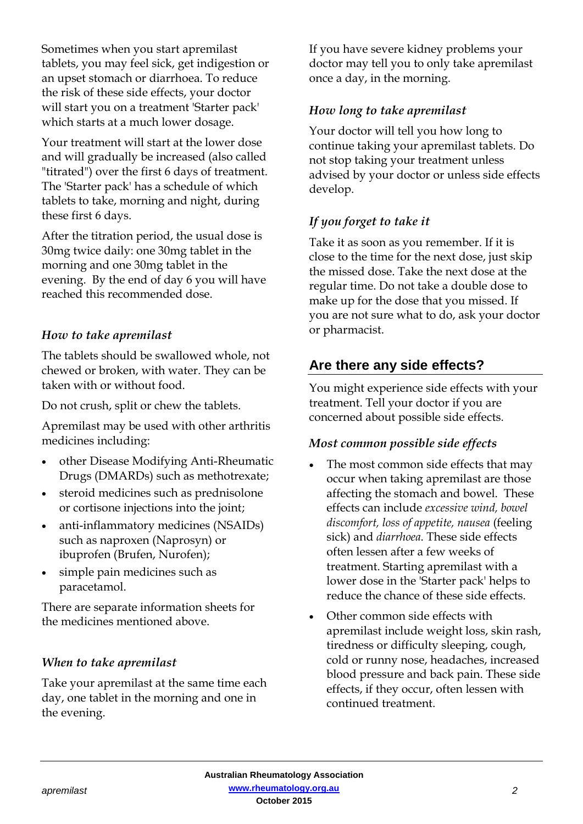Sometimes when you start apremilast tablets, you may feel sick, get indigestion or an upset stomach or diarrhoea. To reduce the risk of these side effects, your doctor will start you on a treatment 'Starter pack' which starts at a much lower dosage.

Your treatment will start at the lower dose and will gradually be increased (also called "titrated") over the first 6 days of treatment. The 'Starter pack' has a schedule of which tablets to take, morning and night, during these first 6 days.

After the titration period, the usual dose is 30mg twice daily: one 30mg tablet in the morning and one 30mg tablet in the evening. By the end of day 6 you will have reached this recommended dose.

### *How to take apremilast*

The tablets should be swallowed whole, not chewed or broken, with water. They can be taken with or without food.

Do not crush, split or chew the tablets.

Apremilast may be used with other arthritis medicines including:

- other Disease Modifying Anti-Rheumatic Drugs (DMARDs) such as methotrexate;
- steroid medicines such as prednisolone or cortisone injections into the joint;
- anti-inflammatory medicines (NSAIDs) such as naproxen (Naprosyn) or ibuprofen (Brufen, Nurofen);
- simple pain medicines such as paracetamol.

There are separate information sheets for the medicines mentioned above.

# *When to take apremilast*

Take your apremilast at the same time each day, one tablet in the morning and one in the evening.

If you have severe kidney problems your doctor may tell you to only take apremilast once a day, in the morning.

## *How long to take apremilast*

Your doctor will tell you how long to continue taking your apremilast tablets. Do not stop taking your treatment unless advised by your doctor or unless side effects develop.

# *If you forget to take it*

Take it as soon as you remember. If it is close to the time for the next dose, just skip the missed dose. Take the next dose at the regular time. Do not take a double dose to make up for the dose that you missed. If you are not sure what to do, ask your doctor or pharmacist.

# **Are there any side effects?**

You might experience side effects with your treatment. Tell your doctor if you are concerned about possible side effects.

### *Most common possible side effects*

- The most common side effects that may occur when taking apremilast are those affecting the stomach and bowel. These effects can include *excessive wind, bowel discomfort, loss of appetite, nausea* (feeling sick) and *diarrhoea*. These side effects often lessen after a few weeks of treatment. Starting apremilast with a lower dose in the 'Starter pack' helps to reduce the chance of these side effects.
- Other common side effects with apremilast include weight loss, skin rash, tiredness or difficulty sleeping, cough, cold or runny nose, headaches, increased blood pressure and back pain. These side effects, if they occur, often lessen with continued treatment.